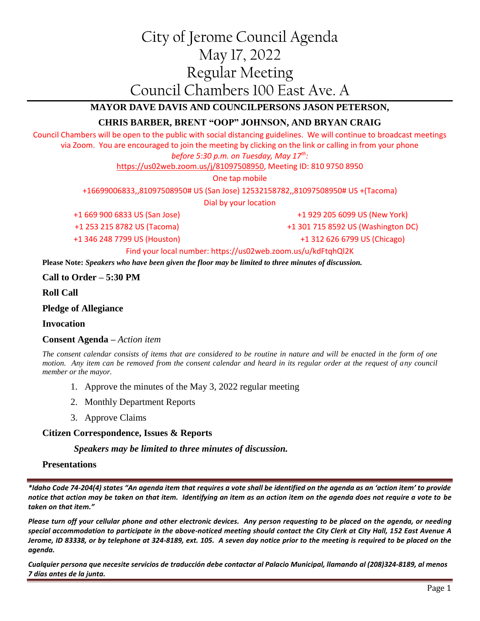# City of Jerome Council Agenda May 17, 2022 Regular Meeting Council Chambers 100 East Ave. A

# **MAYOR DAVE DAVIS AND COUNCILPERSONS JASON PETERSON,**

# **CHRIS BARBER, BRENT "OOP" JOHNSON, AND BRYAN CRAIG**

Council Chambers will be open to the public with social distancing guidelines. We will continue to broadcast meetings via Zoom. You are encouraged to join the meeting by clicking on the link or calling in from your phone

## *before 5:30 p.m. on Tuesday, May 17th:*

[https://us02web.zoom.us/j/81097508950,](https://us02web.zoom.us/j/81097508950) Meeting ID: 810 9750 8950

One tap mobile

+16699006833,,81097508950# US (San Jose) 12532158782,,81097508950# US +(Tacoma)

Dial by your location

+1 669 900 6833 US (San Jose) +1 253 215 8782 US (Tacoma)

+1 929 205 6099 US (New York)

+1 301 715 8592 US (Washington DC)

+1 346 248 7799 US (Houston)

+1 312 626 6799 US (Chicago)

#### Find your local number: https://us02web.zoom.us/u/kdFtqhQl2K

**Please Note:** *Speakers who have been given the floor may be limited to three minutes of discussion.*

**Call to Order – 5:30 PM**

**Roll Call**

**Pledge of Allegiance**

#### **Invocation**

#### **Consent Agenda –** *Action item*

*The consent calendar consists of items that are considered to be routine in nature and will be enacted in the form of one motion.* Any item can be removed from the consent calendar and heard in its regular order at the request of any council *member or the mayor.*

- 1. Approve the minutes of the May 3, 2022 regular meeting
- 2. Monthly Department Reports
- 3. Approve Claims

## **Citizen Correspondence, Issues & Reports**

#### *Speakers may be limited to three minutes of discussion.*

#### **Presentations**

*\*Idaho Code 74-204(4) states "An agenda item that requires a vote shall be identified on the agenda as an 'action item' to provide notice that action may be taken on that item. Identifying an item as an action item on the agenda does not require a vote to be taken on that item."*

*Please turn off your cellular phone and other electronic devices. Any person requesting to be placed on the agenda, or needing special accommodation to participate in the above-noticed meeting should contact the City Clerk at City Hall, 152 East Avenue A Jerome, ID 83338, or by telephone at 324-8189, ext. 105. A seven day notice prior to the meeting is required to be placed on the agenda.* 

*Cualquier persona que necesite servicios de traducción debe contactar al Palacio Municipal, llamando al (208)324-8189, al menos 7 días antes de la junta.*